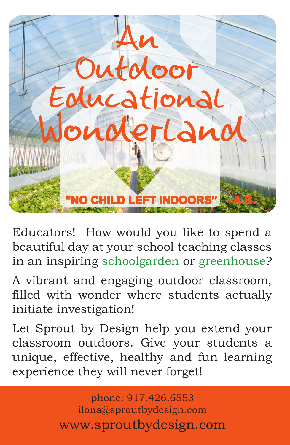

Educators! How would you like to spend a beautiful day at your school teaching classes in an inspiring schoolgarden or greenhouse?

A vibrant and engaging outdoor classroom, filled with wonder where students actually initiate investigation!

Let Sprout by Design help you extend your classroom outdoors. Give your students a unique, effective, healthy and fun learning experience they will never forget!

> phone: 917.426.6553 ilona@sproutbydesign.com www.sproutbydesign.com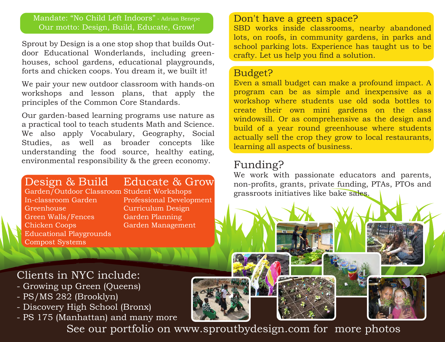#### Mandate: "No Child Left Indoors" - Adrian Benepe Our motto: Design, Build, Educate, Grow!

Sprout by Design is a one stop shop that builds Outdoor Educational Wonderlands, including greenhouses, school gardens, educational playgrounds, forts and chicken coops. You dream it, we built it!

We pair your new outdoor classroom with hands-on workshops and lesson plans, that apply the principles of the Common Core Standards.

Our garden-based learning programs use nature as a practical tool to teach students Math and Science. We also apply Vocabulary, Geography, Social Studies, as well as broader concepts like understanding the food source, healthy eating, environmental responsibility & the green economy.

# Design & Build

Garden/Outdoor Classroom Student Workshops In-classroom Garden **Greenhouse** Green Walls/Fences Chicken Coops Educational Playgrounds Compost Systems

# Educate & Grow

Professional Development Curriculum Design Garden Planning Garden Management

### Don't have a green space?

SBD works inside classrooms, nearby abandoned lots, on roofs, in community gardens, in parks and school parking lots. Experience has taught us to be crafty. Let us help you find a solution.

#### Budget?

Even a small budget can make a profound impact. A program can be as simple and inexpensive as a workshop where students use old soda bottles to create their own mini gardens on the class windowsill. Or as comprehensive as the design and build of a year round greenhouse where students actually sell the crop they grow to local restaurants, learning all aspects of business.

# Funding?

We work with passionate educators and parents, non-profits, grants, private funding, PTAs, PTOs and grassroots initiatives like bake sales.

# Clients in NYC include:

- Growing up Green (Queens)
- PS/MS 282 (Brooklyn)
- Discovery High School (Bronx)
- PS 175 (Manhattan) and many more

See our portfolio on www.sproutbydesign.com for more photos